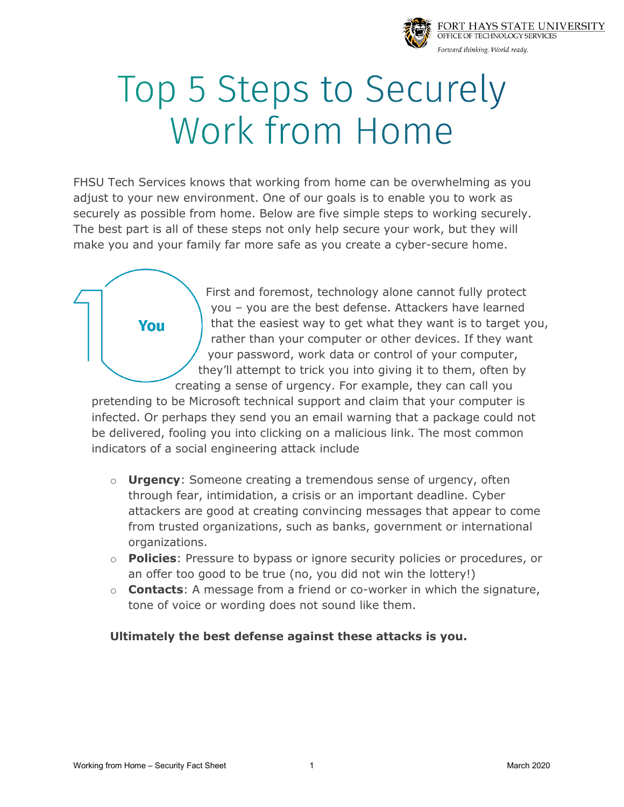

## Top 5 Steps to Securely Work from Home

FHSU Tech Services knows that working from home can be overwhelming as you adjust to your new environment. One of our goals is to enable you to work as securely as possible from home. Below are five simple steps to working securely. The best part is all of these steps not only help secure your work, but they will make you and your family far more safe as you create a cyber-secure home.



First and foremost, technology alone cannot fully protect you – you are the best defense. Attackers have learned that the easiest way to get what they want is to target you, rather than your computer or other devices. If they want your password, work data or control of your computer, they'll attempt to trick you into giving it to them, often by creating a sense of urgency. For example, they can call you

pretending to be Microsoft technical support and claim that your computer is infected. Or perhaps they send you an email warning that a package could not be delivered, fooling you into clicking on a malicious link. The most common indicators of a social engineering attack include

- o **Urgency**: Someone creating a tremendous sense of urgency, often through fear, intimidation, a crisis or an important deadline. Cyber attackers are good at creating convincing messages that appear to come from trusted organizations, such as banks, government or international organizations.
- o **Policies**: Pressure to bypass or ignore security policies or procedures, or an offer too good to be true (no, you did not win the lottery!)
- o **Contacts**: A message from a friend or co-worker in which the signature, tone of voice or wording does not sound like them.

## **Ultimately the best defense against these attacks is you.**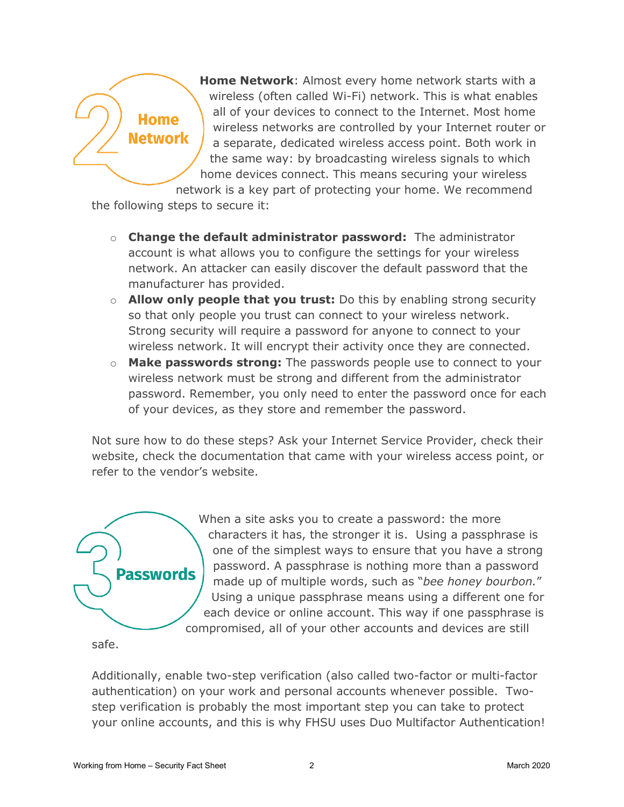## **Home** Network

**Home Network**: Almost every home network starts with a wireless (often called Wi-Fi) network. This is what enables all of your devices to connect to the Internet. Most home wireless networks are controlled by your Internet router or a separate, dedicated wireless access point. Both work in the same way: by broadcasting wireless signals to which home devices connect. This means securing your wireless network is a key part of protecting your home. We recommend

the following steps to secure it:

- o **Change the default administrator password:** The administrator account is what allows you to configure the settings for your wireless network. An attacker can easily discover the default password that the manufacturer has provided.
- o **Allow only people that you trust:** Do this by enabling strong security so that only people you trust can connect to your wireless network. Strong security will require a password for anyone to connect to your wireless network. It will encrypt their activity once they are connected.
- o **Make passwords strong:** The passwords people use to connect to your wireless network must be strong and different from the administrator password. Remember, you only need to enter the password once for each of your devices, as they store and remember the password.

Not sure how to do these steps? Ask your Internet Service Provider, check their website, check the documentation that came with your wireless access point, or refer to the vendor's website.



When a site asks you to create a password: the more characters it has, the stronger it is. Using a passphrase is one of the simplest ways to ensure that you have a strong password. A passphrase is nothing more than a password made up of multiple words, such as "*bee honey bourbon.*" Using a unique passphrase means using a different one for each device or online account. This way if one passphrase is compromised, all of your other accounts and devices are still

safe.

Additionally, enable two-step verification (also called two-factor or multi-factor authentication) on your work and personal accounts whenever possible. Twostep verification is probably the most important step you can take to protect your online accounts, and this is why FHSU uses Duo Multifactor Authentication!